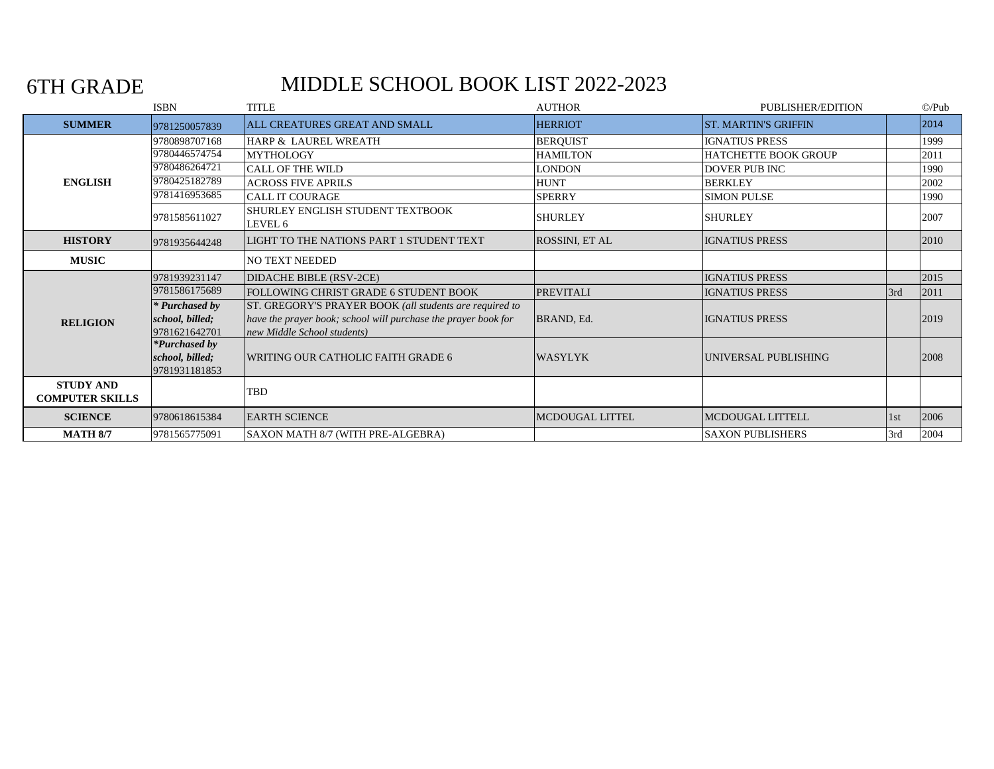6TH GRADE

# MIDDLE SCHOOL BOOK LIST 2022-2023

|                                            | <b>ISBN</b>     | <b>TITLE</b>                                                   | <b>AUTHOR</b>    | PUBLISHER/EDITION           |     | $\mathbb{O}/\mathrm{Pub}$ |
|--------------------------------------------|-----------------|----------------------------------------------------------------|------------------|-----------------------------|-----|---------------------------|
| <b>SUMMER</b>                              | 9781250057839   | ALL CREATURES GREAT AND SMALL                                  | <b>HERRIOT</b>   | <b>ST. MARTIN'S GRIFFIN</b> |     | 2014                      |
|                                            | 9780898707168   | HARP & LAUREL WREATH                                           | <b>BERQUIST</b>  | <b>IGNATIUS PRESS</b>       |     | 1999                      |
|                                            | 9780446574754   | <b>MYTHOLOGY</b>                                               | <b>HAMILTON</b>  | <b>HATCHETTE BOOK GROUP</b> |     | 2011                      |
|                                            | 9780486264721   | <b>CALL OF THE WILD</b>                                        | LONDON           | <b>DOVER PUB INC</b>        |     | 1990                      |
| <b>ENGLISH</b>                             | 9780425182789   | <b>ACROSS FIVE APRILS</b>                                      | <b>HUNT</b>      | <b>BERKLEY</b>              |     | 2002                      |
|                                            | 9781416953685   | CALL IT COURAGE                                                | <b>SPERRY</b>    | <b>SIMON PULSE</b>          |     | 1990                      |
|                                            | 9781585611027   | SHURLEY ENGLISH STUDENT TEXTBOOK<br>LEVEL 6                    | <b>SHURLEY</b>   | <b>SHURLEY</b>              |     | 2007                      |
| <b>HISTORY</b>                             | 9781935644248   | LIGHT TO THE NATIONS PART 1 STUDENT TEXT                       | ROSSINI, ET AL   | <b>IGNATIUS PRESS</b>       |     | 2010                      |
| <b>MUSIC</b>                               |                 | NO TEXT NEEDED                                                 |                  |                             |     |                           |
|                                            | 9781939231147   | DIDACHE BIBLE (RSV-2CE)                                        |                  | <b>IGNATIUS PRESS</b>       |     | 2015                      |
|                                            | 9781586175689   | FOLLOWING CHRIST GRADE 6 STUDENT BOOK                          | <b>PREVITALI</b> | <b>IGNATIUS PRESS</b>       | 3rd | 2011                      |
|                                            | * Purchased by  | ST. GREGORY'S PRAYER BOOK (all students are required to        |                  |                             |     |                           |
| <b>RELIGION</b>                            | school, billed; | have the prayer book; school will purchase the prayer book for | BRAND, Ed.       | <b>IGNATIUS PRESS</b>       |     | 2019                      |
|                                            | 9781621642701   | new Middle School students)                                    |                  |                             |     |                           |
|                                            | *Purchased by   |                                                                |                  |                             |     |                           |
|                                            | school, billed; | <b>WRITING OUR CATHOLIC FAITH GRADE 6</b>                      | <b>WASYLYK</b>   | UNIVERSAL PUBLISHING        |     | 2008                      |
|                                            | 9781931181853   |                                                                |                  |                             |     |                           |
| <b>STUDY AND</b><br><b>COMPUTER SKILLS</b> |                 | TBD                                                            |                  |                             |     |                           |
| <b>SCIENCE</b>                             | 9780618615384   | <b>EARTH SCIENCE</b>                                           | MCDOUGAL LITTEL  | <b>MCDOUGAL LITTELL</b>     | 1st | 2006                      |
| <b>MATH 8/7</b>                            | 9781565775091   | SAXON MATH 8/7 (WITH PRE-ALGEBRA)                              |                  | <b>SAXON PUBLISHERS</b>     | 3rd | 2004                      |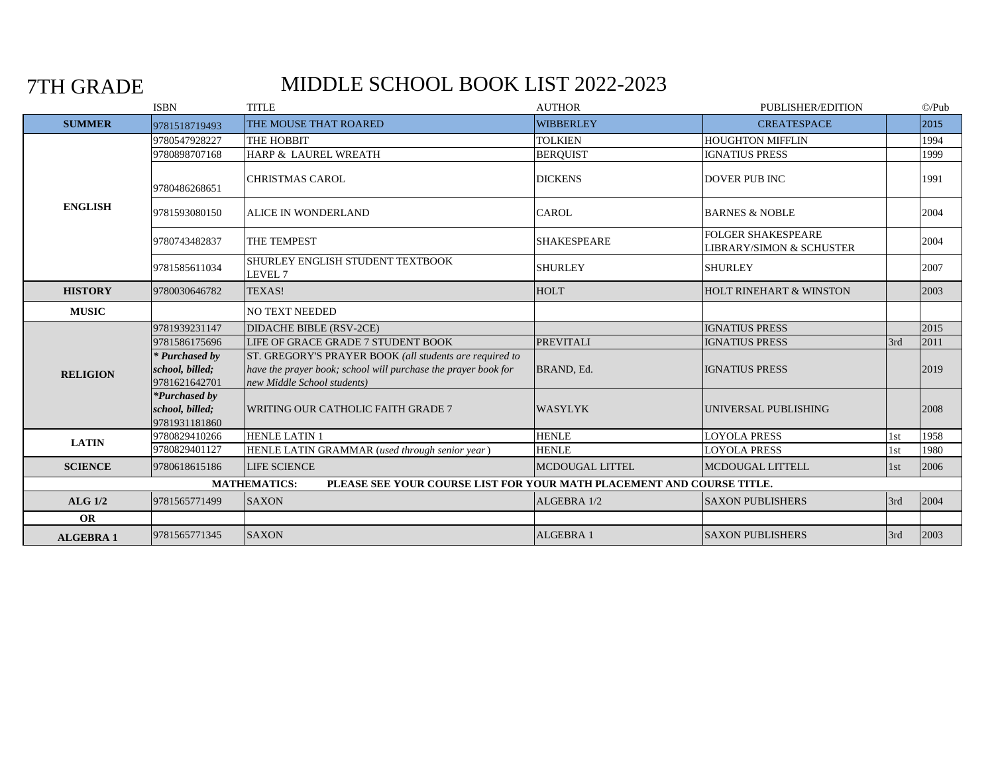## 7TH GRADE

## MIDDLE SCHOOL BOOK LIST 2022-2023

|                  | <b>ISBN</b>                                       | <b>TITLE</b>                                                                                  | <b>AUTHOR</b>      | PUBLISHER/EDITION                                                |     | $\mathbb{O}/\mathrm{Pub}$ |
|------------------|---------------------------------------------------|-----------------------------------------------------------------------------------------------|--------------------|------------------------------------------------------------------|-----|---------------------------|
| <b>SUMMER</b>    | 9781518719493                                     | THE MOUSE THAT ROARED                                                                         | <b>WIBBERLEY</b>   | <b>CREATESPACE</b>                                               |     | 2015                      |
|                  | 9780547928227                                     | THE HOBBIT                                                                                    | <b>TOLKIEN</b>     | <b>HOUGHTON MIFFLIN</b>                                          |     | 1994                      |
|                  | 9780898707168                                     | HARP & LAUREL WREATH                                                                          | <b>BERQUIST</b>    | <b>IGNATIUS PRESS</b>                                            |     | 1999                      |
|                  | 9780486268651                                     | <b>CHRISTMAS CAROL</b>                                                                        | <b>DICKENS</b>     | <b>DOVER PUB INC</b>                                             |     | 1991                      |
| <b>ENGLISH</b>   | 9781593080150                                     | <b>ALICE IN WONDERLAND</b>                                                                    | <b>CAROL</b>       | <b>BARNES &amp; NOBLE</b>                                        |     | 2004                      |
|                  | 9780743482837                                     | THE TEMPEST                                                                                   | <b>SHAKESPEARE</b> | <b>FOLGER SHAKESPEARE</b><br><b>LIBRARY/SIMON &amp; SCHUSTER</b> |     | 2004                      |
|                  | 9781585611034                                     | SHURLEY ENGLISH STUDENT TEXTBOOK<br>LEVEL <sub>7</sub>                                        | <b>SHURLEY</b>     | <b>SHURLEY</b>                                                   |     | 2007                      |
| <b>HISTORY</b>   | 9780030646782                                     | TEXAS!                                                                                        | <b>HOLT</b>        | <b>HOLT RINEHART &amp; WINSTON</b>                               |     | 2003                      |
| <b>MUSIC</b>     |                                                   | NO TEXT NEEDED                                                                                |                    |                                                                  |     |                           |
|                  | 9781939231147                                     | <b>DIDACHE BIBLE (RSV-2CE)</b>                                                                |                    | <b>IGNATIUS PRESS</b>                                            |     | 2015                      |
|                  | 9781586175696                                     | LIFE OF GRACE GRADE 7 STUDENT BOOK                                                            | <b>PREVITALI</b>   | <b>IGNATIUS PRESS</b>                                            | 3rd | 2011                      |
|                  | * Purchased by                                    | ST. GREGORY'S PRAYER BOOK (all students are required to                                       |                    |                                                                  |     |                           |
| <b>RELIGION</b>  | school, billed;<br>9781621642701                  | have the prayer book; school will purchase the prayer book for<br>new Middle School students) | BRAND, Ed.         | <b>IGNATIUS PRESS</b>                                            |     | 2019                      |
|                  | *Purchased by<br>school, billed;<br>9781931181860 | WRITING OUR CATHOLIC FAITH GRADE 7                                                            | <b>WASYLYK</b>     | UNIVERSAL PUBLISHING                                             |     | 2008                      |
| <b>LATIN</b>     | 9780829410266                                     | <b>HENLE LATIN 1</b>                                                                          | <b>HENLE</b>       | <b>LOYOLA PRESS</b>                                              | 1st | 1958                      |
|                  | 9780829401127                                     | HENLE LATIN GRAMMAR (used through senior year)                                                | <b>HENLE</b>       | <b>LOYOLA PRESS</b>                                              | 1st | 1980                      |
| <b>SCIENCE</b>   | 9780618615186                                     | <b>LIFE SCIENCE</b>                                                                           | MCDOUGAL LITTEL    | MCDOUGAL LITTELL                                                 | 1st | 2006                      |
|                  |                                                   | PLEASE SEE YOUR COURSE LIST FOR YOUR MATH PLACEMENT AND COURSE TITLE.<br><b>MATHEMATICS:</b>  |                    |                                                                  |     |                           |
| <b>ALG 1/2</b>   | 9781565771499                                     | <b>SAXON</b>                                                                                  | ALGEBRA 1/2        | <b>SAXON PUBLISHERS</b>                                          | 3rd | 2004                      |
| <b>OR</b>        |                                                   |                                                                                               |                    |                                                                  |     |                           |
| <b>ALGEBRA 1</b> | 9781565771345                                     | <b>SAXON</b>                                                                                  | <b>ALGEBRA 1</b>   | <b>SAXON PUBLISHERS</b>                                          | 3rd | 2003                      |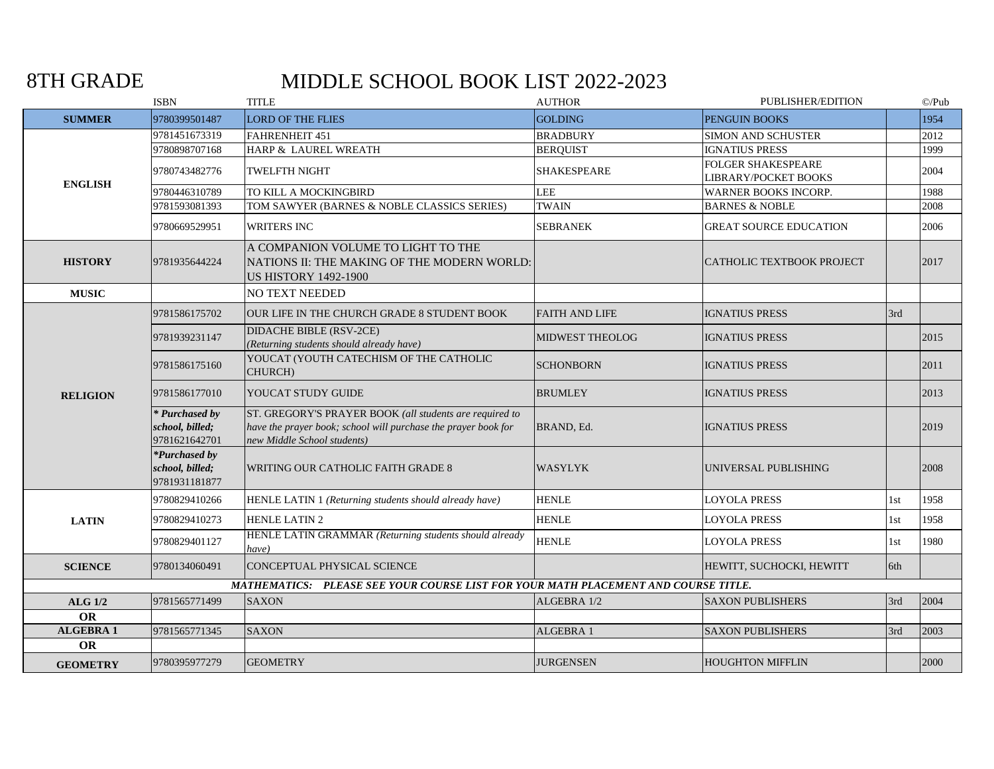8TH GRADE

# MIDDLE SCHOOL BOOK LIST 2022-2023

|                  | <b>ISBN</b>                                              | <b>TITLE</b>                                                                                                                                             | <b>AUTHOR</b>          | PUBLISHER/EDITION                                 |     | $\mathbb{O}/\mathrm{Pub}$ |
|------------------|----------------------------------------------------------|----------------------------------------------------------------------------------------------------------------------------------------------------------|------------------------|---------------------------------------------------|-----|---------------------------|
| <b>SUMMER</b>    | 9780399501487                                            | <b>LORD OF THE FLIES</b>                                                                                                                                 | <b>GOLDING</b>         | PENGUIN BOOKS                                     |     | 1954                      |
|                  | 9781451673319                                            | FAHRENHEIT 451                                                                                                                                           | <b>BRADBURY</b>        | <b>SIMON AND SCHUSTER</b>                         |     | 2012                      |
|                  | 9780898707168                                            | HARP & LAUREL WREATH                                                                                                                                     | <b>BEROUIST</b>        | <b>IGNATIUS PRESS</b>                             |     | 1999                      |
| <b>ENGLISH</b>   | 9780743482776                                            | TWELFTH NIGHT                                                                                                                                            | SHAKESPEARE            | <b>FOLGER SHAKESPEARE</b><br>LIBRARY/POCKET BOOKS |     | 2004                      |
|                  | 9780446310789                                            | TO KILL A MOCKINGBIRD                                                                                                                                    | <b>LEE</b>             | <b>WARNER BOOKS INCORP.</b>                       |     | 1988                      |
|                  | 9781593081393                                            | TOM SAWYER (BARNES & NOBLE CLASSICS SERIES)                                                                                                              | <b>TWAIN</b>           | <b>BARNES &amp; NOBLE</b>                         |     | 2008                      |
|                  | 9780669529951                                            | <b>WRITERS INC</b>                                                                                                                                       | <b>SEBRANEK</b>        | <b>GREAT SOURCE EDUCATION</b>                     |     | 2006                      |
| <b>HISTORY</b>   | 9781935644224                                            | A COMPANION VOLUME TO LIGHT TO THE<br>NATIONS II: THE MAKING OF THE MODERN WORLD:<br><b>US HISTORY 1492-1900</b>                                         |                        | CATHOLIC TEXTBOOK PROJECT                         |     | 2017                      |
| <b>MUSIC</b>     |                                                          | <b>NO TEXT NEEDED</b>                                                                                                                                    |                        |                                                   |     |                           |
|                  | 9781586175702                                            | OUR LIFE IN THE CHURCH GRADE 8 STUDENT BOOK                                                                                                              | <b>FAITH AND LIFE</b>  | <b>IGNATIUS PRESS</b>                             | 3rd |                           |
|                  | 9781939231147                                            | <b>DIDACHE BIBLE (RSV-2CE)</b><br>(Returning students should already have)                                                                               | <b>MIDWEST THEOLOG</b> | <b>IGNATIUS PRESS</b>                             |     | 2015                      |
|                  | 9781586175160                                            | YOUCAT (YOUTH CATECHISM OF THE CATHOLIC<br>CHURCH)                                                                                                       | <b>SCHONBORN</b>       | <b>IGNATIUS PRESS</b>                             |     | 2011                      |
| <b>RELIGION</b>  | 9781586177010                                            | YOUCAT STUDY GUIDE                                                                                                                                       | <b>BRUMLEY</b>         | <b>IGNATIUS PRESS</b>                             |     | 2013                      |
|                  | * Purchased by<br>school, billed;<br>9781621642701       | ST. GREGORY'S PRAYER BOOK (all students are required to<br>have the prayer book; school will purchase the prayer book for<br>new Middle School students) | BRAND, Ed.             | <b>IGNATIUS PRESS</b>                             |     | 2019                      |
|                  | <i>*Purchased by</i><br>school, billed;<br>9781931181877 | WRITING OUR CATHOLIC FAITH GRADE 8                                                                                                                       | <b>WASYLYK</b>         | UNIVERSAL PUBLISHING                              |     | 2008                      |
|                  | 9780829410266                                            | HENLE LATIN 1 (Returning students should already have)                                                                                                   | <b>HENLE</b>           | <b>LOYOLA PRESS</b>                               | 1st | 1958                      |
| <b>LATIN</b>     | 9780829410273                                            | <b>HENLE LATIN 2</b>                                                                                                                                     | <b>HENLE</b>           | <b>LOYOLA PRESS</b>                               | 1st | 1958                      |
|                  | 9780829401127                                            | HENLE LATIN GRAMMAR (Returning students should already<br>have)                                                                                          | <b>HENLE</b>           | <b>LOYOLA PRESS</b>                               | 1st | 1980                      |
| <b>SCIENCE</b>   | 9780134060491                                            | CONCEPTUAL PHYSICAL SCIENCE                                                                                                                              |                        | HEWITT, SUCHOCKI, HEWITT                          | 6th |                           |
|                  |                                                          | MATHEMATICS: PLEASE SEE YOUR COURSE LIST FOR YOUR MATH PLACEMENT AND COURSE TITLE.                                                                       |                        |                                                   |     |                           |
| <b>ALG 1/2</b>   | 9781565771499                                            | <b>SAXON</b>                                                                                                                                             | ALGEBRA 1/2            | <b>SAXON PUBLISHERS</b>                           | 3rd | 2004                      |
| OR               |                                                          |                                                                                                                                                          |                        |                                                   |     |                           |
| <b>ALGEBRA 1</b> | 9781565771345                                            | <b>SAXON</b>                                                                                                                                             | ALGEBRA 1              | <b>SAXON PUBLISHERS</b>                           | 3rd | 2003                      |
| OR               |                                                          |                                                                                                                                                          |                        |                                                   |     |                           |
| <b>GEOMETRY</b>  | 9780395977279                                            | <b>GEOMETRY</b>                                                                                                                                          | <b>JURGENSEN</b>       | <b>HOUGHTON MIFFLIN</b>                           |     | 2000                      |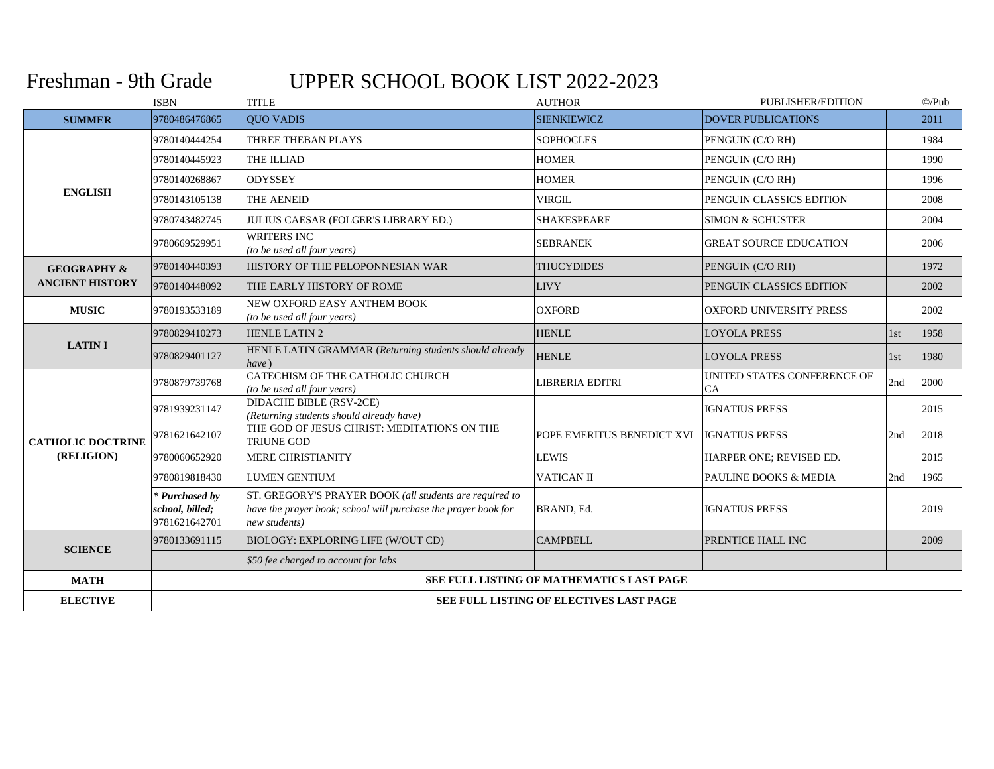## Freshman - 9th Grade

# UPPER SCHOOL BOOK LIST 2022-2023

|                          | <b>ISBN</b>                                        | <b>TITLE</b>                                                                                                                               | <b>AUTHOR</b>                             | PUBLISHER/EDITION                 |     | $\mathbb{O}/\mathrm{Pub}$ |  |  |  |
|--------------------------|----------------------------------------------------|--------------------------------------------------------------------------------------------------------------------------------------------|-------------------------------------------|-----------------------------------|-----|---------------------------|--|--|--|
| <b>SUMMER</b>            | 9780486476865                                      | <b>QUO VADIS</b>                                                                                                                           | <b>SIENKIEWICZ</b>                        | <b>DOVER PUBLICATIONS</b>         |     | 2011                      |  |  |  |
|                          | 9780140444254                                      | THREE THEBAN PLAYS                                                                                                                         | <b>SOPHOCLES</b>                          | PENGUIN (C/O RH)                  |     | 1984                      |  |  |  |
|                          | 9780140445923                                      | THE ILLIAD                                                                                                                                 | <b>HOMER</b>                              | PENGUIN (C/O RH)                  |     | 1990                      |  |  |  |
|                          | 9780140268867                                      | <b>ODYSSEY</b>                                                                                                                             | <b>HOMER</b>                              | PENGUIN (C/O RH)                  |     | 1996                      |  |  |  |
| <b>ENGLISH</b>           | 9780143105138                                      | THE AENEID                                                                                                                                 | VIRGIL                                    | PENGUIN CLASSICS EDITION          |     | 2008                      |  |  |  |
|                          | 9780743482745                                      | <b>JULIUS CAESAR (FOLGER'S LIBRARY ED.)</b>                                                                                                | <b>SHAKESPEARE</b>                        | <b>SIMON &amp; SCHUSTER</b>       |     | 2004                      |  |  |  |
|                          | 9780669529951                                      | <b>WRITERS INC</b><br>(to be used all four years)                                                                                          | <b>SEBRANEK</b>                           | <b>GREAT SOURCE EDUCATION</b>     |     | 2006                      |  |  |  |
| <b>GEOGRAPHY &amp;</b>   | 9780140440393                                      | HISTORY OF THE PELOPONNESIAN WAR                                                                                                           | <b>THUCYDIDES</b>                         | PENGUIN (C/O RH)                  |     | 1972                      |  |  |  |
| <b>ANCIENT HISTORY</b>   | 9780140448092                                      | THE EARLY HISTORY OF ROME                                                                                                                  | <b>LIVY</b>                               | PENGUIN CLASSICS EDITION          |     | 2002                      |  |  |  |
| <b>MUSIC</b>             | 9780193533189                                      | NEW OXFORD EASY ANTHEM BOOK<br>(to be used all four years)                                                                                 | <b>OXFORD</b>                             | <b>OXFORD UNIVERSITY PRESS</b>    |     | 2002                      |  |  |  |
|                          | 9780829410273                                      | <b>HENLE LATIN 2</b>                                                                                                                       | <b>HENLE</b>                              | <b>LOYOLA PRESS</b>               | 1st | 1958                      |  |  |  |
| <b>LATINI</b>            | 9780829401127                                      | HENLE LATIN GRAMMAR (Returning students should already<br>have)                                                                            | <b>HENLE</b>                              | <b>LOYOLA PRESS</b>               | 1st | 1980                      |  |  |  |
|                          | 9780879739768                                      | CATECHISM OF THE CATHOLIC CHURCH<br>(to be used all four years)                                                                            | LIBRERIA EDITRI                           | UNITED STATES CONFERENCE OF<br>CA | 2nd | 2000                      |  |  |  |
|                          | 9781939231147                                      | DIDACHE BIBLE (RSV-2CE)<br>(Returning students should already have)                                                                        |                                           | <b>IGNATIUS PRESS</b>             |     | 2015                      |  |  |  |
| <b>CATHOLIC DOCTRINE</b> | 9781621642107                                      | THE GOD OF JESUS CHRIST: MEDITATIONS ON THE<br>TRIUNE GOD                                                                                  | POPE EMERITUS BENEDICT XVI                | <b>IGNATIUS PRESS</b>             | 2nd | 2018                      |  |  |  |
| (RELIGION)               | 9780060652920                                      | <b>MERE CHRISTIANITY</b>                                                                                                                   | <b>LEWIS</b>                              | HARPER ONE; REVISED ED.           |     | 2015                      |  |  |  |
|                          | 9780819818430                                      | <b>LUMEN GENTIUM</b>                                                                                                                       | <b>VATICAN II</b>                         | <b>PAULINE BOOKS &amp; MEDIA</b>  | 2nd | 1965                      |  |  |  |
|                          | * Purchased by<br>school, billed;<br>9781621642701 | ST. GREGORY'S PRAYER BOOK (all students are required to<br>have the prayer book; school will purchase the prayer book for<br>new students) | BRAND, Ed.                                | <b>IGNATIUS PRESS</b>             |     | 2019                      |  |  |  |
| <b>SCIENCE</b>           | 9780133691115                                      | BIOLOGY: EXPLORING LIFE (W/OUT CD)                                                                                                         | <b>CAMPBELL</b>                           | PRENTICE HALL INC                 |     | 2009                      |  |  |  |
|                          |                                                    | \$50 fee charged to account for labs                                                                                                       |                                           |                                   |     |                           |  |  |  |
| <b>MATH</b>              |                                                    |                                                                                                                                            | SEE FULL LISTING OF MATHEMATICS LAST PAGE |                                   |     |                           |  |  |  |
| <b>ELECTIVE</b>          |                                                    | <b>SEE FULL LISTING OF ELECTIVES LAST PAGE</b>                                                                                             |                                           |                                   |     |                           |  |  |  |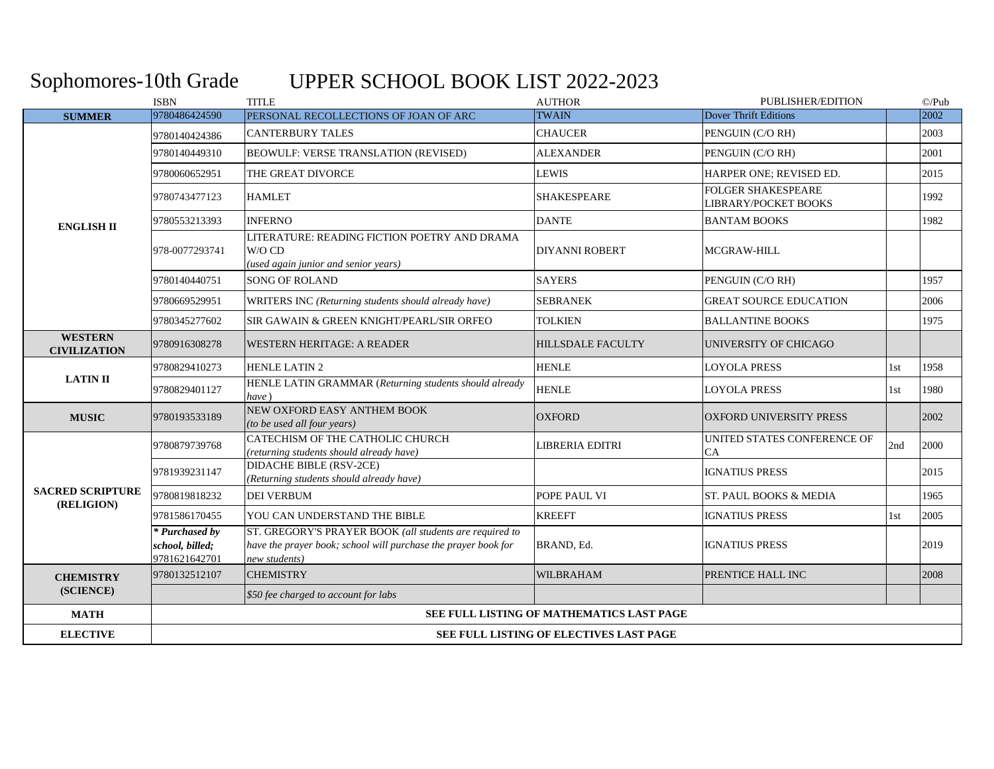## Sophomores-10th Grade UPPER SCHOOL BOOK LIST 2022-2023

|                                       | <b>ISBN</b>                                        | <b>TITLE</b>                                                                                                                               | <b>AUTHOR</b>                             | PUBLISHER/EDITION                                        |     | $\odot$ /Pub |  |
|---------------------------------------|----------------------------------------------------|--------------------------------------------------------------------------------------------------------------------------------------------|-------------------------------------------|----------------------------------------------------------|-----|--------------|--|
| <b>SUMMER</b>                         | 9780486424590                                      | PERSONAL RECOLLECTIONS OF JOAN OF ARC                                                                                                      | <b>TWAIN</b>                              | Dover Thrift Editions                                    |     | 2002         |  |
| <b>ENGLISH II</b>                     | 9780140424386                                      | <b>CANTERBURY TALES</b>                                                                                                                    | <b>CHAUCER</b>                            | PENGUIN (C/ORH)                                          |     | 2003         |  |
|                                       | 9780140449310                                      | <b>BEOWULF: VERSE TRANSLATION (REVISED)</b>                                                                                                | <b>ALEXANDER</b>                          | PENGUIN (C/O RH)                                         |     | 2001         |  |
|                                       | 9780060652951                                      | THE GREAT DIVORCE                                                                                                                          | LEWIS                                     | HARPER ONE; REVISED ED.                                  |     | 2015         |  |
|                                       | 9780743477123                                      | <b>HAMLET</b>                                                                                                                              | <b>SHAKESPEARE</b>                        | <b>FOLGER SHAKESPEARE</b><br><b>LIBRARY/POCKET BOOKS</b> |     | 1992         |  |
|                                       | 9780553213393                                      | <b>INFERNO</b>                                                                                                                             | <b>DANTE</b>                              | <b>BANTAM BOOKS</b>                                      |     | 1982         |  |
|                                       | 978-0077293741                                     | LITERATURE: READING FICTION POETRY AND DRAMA<br>W/O CD<br>(used again junior and senior years)                                             | DIYANNI ROBERT                            | <b>MCGRAW-HILL</b>                                       |     |              |  |
|                                       | 9780140440751                                      | <b>SONG OF ROLAND</b>                                                                                                                      | <b>SAYERS</b>                             | PENGUIN (C/O RH)                                         |     | 1957         |  |
|                                       | 9780669529951                                      | WRITERS INC (Returning students should already have)                                                                                       | <b>SEBRANEK</b>                           | <b>GREAT SOURCE EDUCATION</b>                            |     | 2006         |  |
|                                       | 9780345277602                                      | SIR GAWAIN & GREEN KNIGHT/PEARL/SIR ORFEO                                                                                                  | <b>TOLKIEN</b>                            | <b>BALLANTINE BOOKS</b>                                  |     | 1975         |  |
| <b>WESTERN</b><br><b>CIVILIZATION</b> | 9780916308278                                      | WESTERN HERITAGE: A READER                                                                                                                 | HILLSDALE FACULTY                         | UNIVERSITY OF CHICAGO                                    |     |              |  |
|                                       | 9780829410273                                      | <b>HENLE LATIN 2</b>                                                                                                                       | <b>HENLE</b>                              | <b>LOYOLA PRESS</b>                                      | 1st | 1958         |  |
| <b>LATIN II</b>                       | 9780829401127                                      | HENLE LATIN GRAMMAR (Returning students should already<br>have)                                                                            | <b>HENLE</b>                              | LOYOLA PRESS                                             | 1st | 1980         |  |
| <b>MUSIC</b>                          | 9780193533189                                      | NEW OXFORD EASY ANTHEM BOOK<br>(to be used all four years)                                                                                 | <b>OXFORD</b>                             | <b>OXFORD UNIVERSITY PRESS</b>                           |     | 2002         |  |
|                                       | 9780879739768                                      | CATECHISM OF THE CATHOLIC CHURCH<br>(returning students should already have)                                                               | LIBRERIA EDITRI                           | UNITED STATES CONFERENCE OF<br>CA                        | 2nd | 2000         |  |
|                                       | 9781939231147                                      | DIDACHE BIBLE (RSV-2CE)<br>(Returning students should already have)                                                                        |                                           | <b>IGNATIUS PRESS</b>                                    |     | 2015         |  |
| <b>SACRED SCRIPTURE</b><br>(RELIGION) | 9780819818232                                      | <b>DEI VERBUM</b>                                                                                                                          | POPE PAUL VI                              | ST. PAUL BOOKS & MEDIA                                   |     | 1965         |  |
|                                       | 9781586170455                                      | YOU CAN UNDERSTAND THE BIBLE                                                                                                               | <b>KREEFT</b>                             | <b>IGNATIUS PRESS</b>                                    | 1st | 2005         |  |
|                                       | * Purchased by<br>school, billed;<br>9781621642701 | ST. GREGORY'S PRAYER BOOK (all students are required to<br>have the prayer book; school will purchase the prayer book for<br>new students) | BRAND, Ed.                                | <b>IGNATIUS PRESS</b>                                    |     | 2019         |  |
| <b>CHEMISTRY</b>                      | 9780132512107                                      | <b>CHEMISTRY</b>                                                                                                                           | WILBRAHAM                                 | <b>PRENTICE HALL INC</b>                                 |     | 2008         |  |
| (SCIENCE)                             |                                                    | \$50 fee charged to account for labs                                                                                                       |                                           |                                                          |     |              |  |
| <b>MATH</b>                           |                                                    |                                                                                                                                            | SEE FULL LISTING OF MATHEMATICS LAST PAGE |                                                          |     |              |  |
| <b>ELECTIVE</b>                       | SEE FULL LISTING OF ELECTIVES LAST PAGE            |                                                                                                                                            |                                           |                                                          |     |              |  |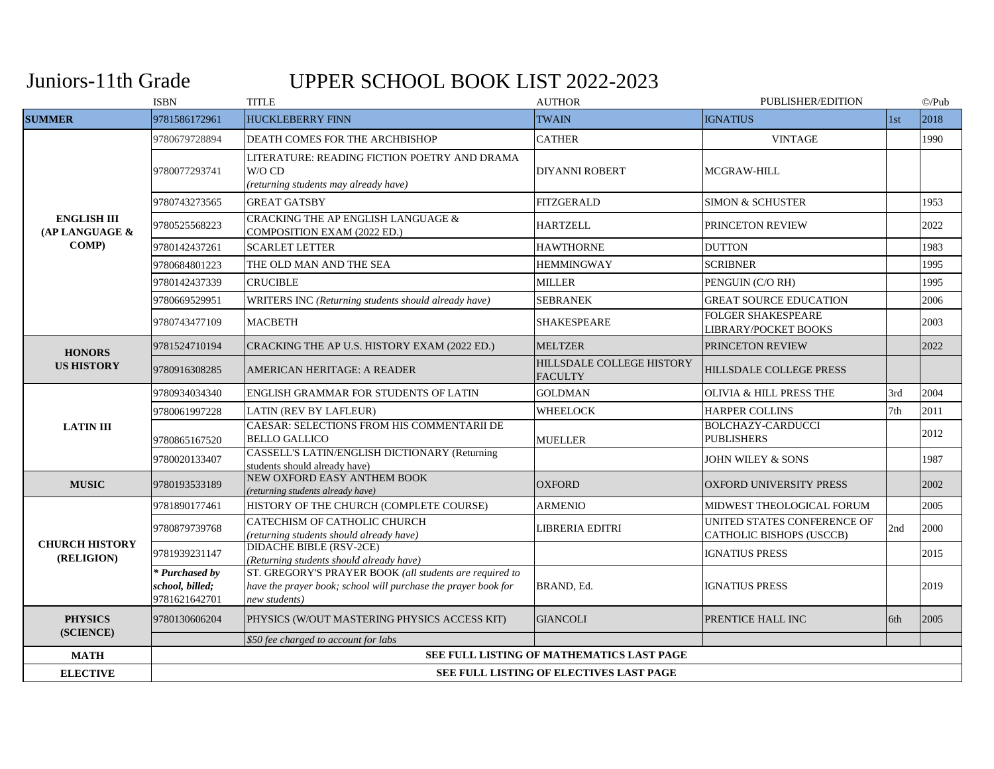## Juniors-11th Grade

# UPPER SCHOOL BOOK LIST 2022-2023

|                                      | <b>ISBN</b>                                        | <b>TITLE</b>                                                                                                                               | <b>AUTHOR</b>                               | PUBLISHER/EDITION                                       |     | $\mathbb{O}/Pub$ |  |  |
|--------------------------------------|----------------------------------------------------|--------------------------------------------------------------------------------------------------------------------------------------------|---------------------------------------------|---------------------------------------------------------|-----|------------------|--|--|
| <b>SUMMER</b>                        | 9781586172961                                      | <b>HUCKLEBERRY FINN</b>                                                                                                                    | <b>TWAIN</b>                                | <b>IGNATIUS</b>                                         | 1st | 2018             |  |  |
|                                      | 9780679728894                                      | DEATH COMES FOR THE ARCHBISHOP                                                                                                             | <b>CATHER</b>                               | <b>VINTAGE</b>                                          |     | 1990             |  |  |
|                                      | 9780077293741                                      | LITERATURE: READING FICTION POETRY AND DRAMA<br>W/O CD<br>(returning students may already have)                                            | <b>DIYANNI ROBERT</b>                       | <b>MCGRAW-HILL</b>                                      |     |                  |  |  |
|                                      | 9780743273565                                      | <b>GREAT GATSBY</b>                                                                                                                        | <b>FITZGERALD</b>                           | <b>SIMON &amp; SCHUSTER</b>                             |     | 1953             |  |  |
| <b>ENGLISH III</b><br>(AP LANGUAGE & | 9780525568223                                      | CRACKING THE AP ENGLISH LANGUAGE &<br>COMPOSITION EXAM (2022 ED.)                                                                          | <b>HARTZELL</b>                             | PRINCETON REVIEW                                        |     | 2022             |  |  |
| <b>COMP</b> )                        | 9780142437261                                      | <b>SCARLET LETTER</b>                                                                                                                      | <b>HAWTHORNE</b>                            | <b>DUTTON</b>                                           |     | 1983             |  |  |
|                                      | 9780684801223                                      | THE OLD MAN AND THE SEA                                                                                                                    | <b>HEMMINGWAY</b>                           | <b>SCRIBNER</b>                                         |     | 1995             |  |  |
|                                      | 9780142437339                                      | <b>CRUCIBLE</b>                                                                                                                            | <b>MILLER</b>                               | PENGUIN (C/O RH)                                        |     | 1995             |  |  |
|                                      | 9780669529951                                      | WRITERS INC (Returning students should already have)                                                                                       | <b>SEBRANEK</b>                             | <b>GREAT SOURCE EDUCATION</b>                           |     | 2006             |  |  |
|                                      | 9780743477109                                      | <b>MACBETH</b>                                                                                                                             | SHAKESPEARE                                 | <b>FOLGER SHAKESPEARE</b><br>LIBRARY/POCKET BOOKS       |     | 2003             |  |  |
| <b>HONORS</b>                        | 9781524710194                                      | CRACKING THE AP U.S. HISTORY EXAM (2022 ED.)                                                                                               | <b>MELTZER</b>                              | PRINCETON REVIEW                                        |     | 2022             |  |  |
| <b>US HISTORY</b>                    | 9780916308285                                      | AMERICAN HERITAGE: A READER                                                                                                                | HILLSDALE COLLEGE HISTORY<br><b>FACULTY</b> | <b>HILLSDALE COLLEGE PRESS</b>                          |     |                  |  |  |
|                                      | 9780934034340                                      | ENGLISH GRAMMAR FOR STUDENTS OF LATIN                                                                                                      | <b>GOLDMAN</b>                              | <b>OLIVIA &amp; HILL PRESS THE</b>                      | 3rd | 2004             |  |  |
|                                      | 9780061997228                                      | LATIN (REV BY LAFLEUR)                                                                                                                     | <b>WHEELOCK</b>                             | <b>HARPER COLLINS</b>                                   | 7th | 2011             |  |  |
| <b>LATIN III</b>                     | 9780865167520                                      | CAESAR: SELECTIONS FROM HIS COMMENTARII DE<br><b>BELLO GALLICO</b>                                                                         | <b>MUELLER</b>                              | <b>BOLCHAZY-CARDUCCI</b><br><b>PUBLISHERS</b>           |     | 2012             |  |  |
|                                      | 9780020133407                                      | CASSELL'S LATIN/ENGLISH DICTIONARY (Returning<br>students should already have)                                                             |                                             | <b>JOHN WILEY &amp; SONS</b>                            |     | 1987             |  |  |
| <b>MUSIC</b>                         | 9780193533189                                      | NEW OXFORD EASY ANTHEM BOOK<br>(returning students already have)                                                                           | <b>OXFORD</b>                               | <b>OXFORD UNIVERSITY PRESS</b>                          |     | 2002             |  |  |
|                                      | 9781890177461                                      | HISTORY OF THE CHURCH (COMPLETE COURSE)                                                                                                    | <b>ARMENIO</b>                              | MIDWEST THEOLOGICAL FORUM                               |     | 2005             |  |  |
|                                      | 9780879739768                                      | CATECHISM OF CATHOLIC CHURCH<br>(returning students should already have)                                                                   | LIBRERIA EDITRI                             | UNITED STATES CONFERENCE OF<br>CATHOLIC BISHOPS (USCCB) | 2nd | 2000             |  |  |
| <b>CHURCH HISTORY</b><br>(RELIGION)  | 9781939231147                                      | <b>DIDACHE BIBLE (RSV-2CE)</b><br>(Returning students should already have)                                                                 |                                             | <b>IGNATIUS PRESS</b>                                   |     | 2015             |  |  |
|                                      | * Purchased by<br>school, billed;<br>9781621642701 | ST. GREGORY'S PRAYER BOOK (all students are required to<br>have the prayer book; school will purchase the prayer book for<br>new students) | BRAND, Ed.                                  | <b>IGNATIUS PRESS</b>                                   |     | 2019             |  |  |
| <b>PHYSICS</b>                       | 9780130606204                                      | PHYSICS (W/OUT MASTERING PHYSICS ACCESS KIT)                                                                                               | <b>GIANCOLI</b>                             | PRENTICE HALL INC                                       | 6th | 2005             |  |  |
| (SCIENCE)                            |                                                    | \$50 fee charged to account for labs                                                                                                       |                                             |                                                         |     |                  |  |  |
| <b>MATH</b>                          |                                                    |                                                                                                                                            | SEE FULL LISTING OF MATHEMATICS LAST PAGE   |                                                         |     |                  |  |  |
| <b>ELECTIVE</b>                      |                                                    | SEE FULL LISTING OF ELECTIVES LAST PAGE                                                                                                    |                                             |                                                         |     |                  |  |  |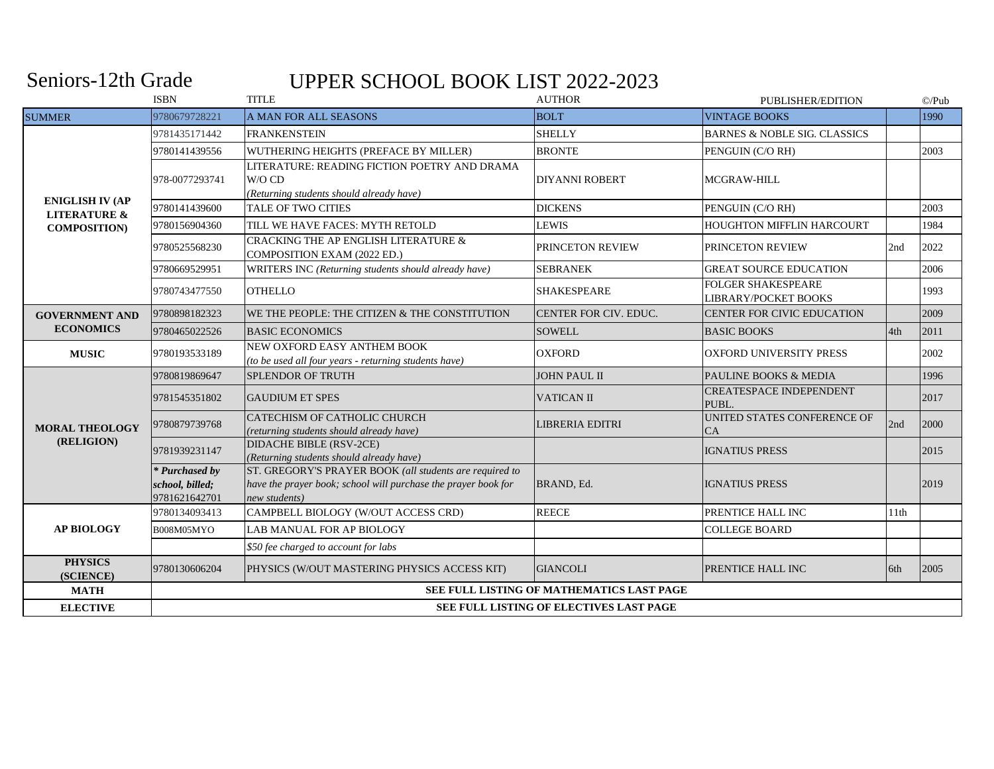#### Seniors-12th Grade

# UPPER SCHOOL BOOK LIST 2022-2023

|                                                   | <b>ISBN</b>                                        | <b>TITLE</b>                                                                                                                               | <b>AUTHOR</b>                             | PUBLISHER/EDITION                                        |      | $\mathbb{O}/\mathrm{Pub}$ |  |  |  |
|---------------------------------------------------|----------------------------------------------------|--------------------------------------------------------------------------------------------------------------------------------------------|-------------------------------------------|----------------------------------------------------------|------|---------------------------|--|--|--|
| <b>SUMMER</b>                                     | 9780679728221                                      | <b>A MAN FOR ALL SEASONS</b>                                                                                                               | <b>BOLT</b>                               | <b>VINTAGE BOOKS</b>                                     |      | 1990                      |  |  |  |
|                                                   | 9781435171442                                      | <b>FRANKENSTEIN</b>                                                                                                                        | <b>SHELLY</b>                             | <b>BARNES &amp; NOBLE SIG. CLASSICS</b>                  |      |                           |  |  |  |
|                                                   | 9780141439556                                      | WUTHERING HEIGHTS (PREFACE BY MILLER)                                                                                                      | <b>BRONTE</b>                             | PENGUIN (C/O RH)                                         |      | 2003                      |  |  |  |
|                                                   | 978-0077293741                                     | LITERATURE: READING FICTION POETRY AND DRAMA<br>W/O CD<br>(Returning students should already have)                                         | <b>DIYANNI ROBERT</b>                     | <b>MCGRAW-HILL</b>                                       |      |                           |  |  |  |
| <b>ENIGLISH IV (AP</b><br><b>LITERATURE &amp;</b> | 9780141439600                                      | <b>TALE OF TWO CITIES</b>                                                                                                                  | <b>DICKENS</b>                            | PENGUIN (C/O RH)                                         |      | 2003                      |  |  |  |
| <b>COMPOSITION)</b>                               | 9780156904360                                      | TILL WE HAVE FACES: MYTH RETOLD                                                                                                            | <b>LEWIS</b>                              | <b>HOUGHTON MIFFLIN HARCOURT</b>                         |      | 1984                      |  |  |  |
|                                                   | 9780525568230                                      | CRACKING THE AP ENGLISH LITERATURE &<br>COMPOSITION EXAM (2022 ED.)                                                                        | PRINCETON REVIEW                          | PRINCETON REVIEW                                         | 2nd  | 2022                      |  |  |  |
|                                                   | 9780669529951                                      | WRITERS INC (Returning students should already have)                                                                                       | <b>SEBRANEK</b>                           | <b>GREAT SOURCE EDUCATION</b>                            |      | 2006                      |  |  |  |
|                                                   | 9780743477550                                      | <b>OTHELLO</b>                                                                                                                             | SHAKESPEARE                               | <b>FOLGER SHAKESPEARE</b><br><b>LIBRARY/POCKET BOOKS</b> |      | 1993                      |  |  |  |
| <b>GOVERNMENT AND</b><br><b>ECONOMICS</b>         | 9780898182323                                      | WE THE PEOPLE: THE CITIZEN & THE CONSTITUTION                                                                                              | CENTER FOR CIV. EDUC.                     | <b>CENTER FOR CIVIC EDUCATION</b>                        |      | 2009                      |  |  |  |
|                                                   | 9780465022526                                      | <b>BASIC ECONOMICS</b>                                                                                                                     | <b>SOWELL</b>                             | <b>BASIC BOOKS</b>                                       | 4th  | 2011                      |  |  |  |
| <b>MUSIC</b>                                      | 9780193533189                                      | NEW OXFORD EASY ANTHEM BOOK<br>(to be used all four years - returning students have)                                                       | <b>OXFORD</b>                             | <b>OXFORD UNIVERSITY PRESS</b>                           |      | 2002                      |  |  |  |
|                                                   | 9780819869647                                      | SPLENDOR OF TRUTH                                                                                                                          | <b>JOHN PAUL II</b>                       | PAULINE BOOKS & MEDIA                                    |      | 1996                      |  |  |  |
|                                                   | 9781545351802                                      | <b>GAUDIUM ET SPES</b>                                                                                                                     | <b>VATICAN II</b>                         | <b>CREATESPACE INDEPENDENT</b><br>PUBL.                  |      | 2017                      |  |  |  |
| <b>MORAL THEOLOGY</b>                             | 9780879739768                                      | CATECHISM OF CATHOLIC CHURCH<br>(returning students should already have)                                                                   | LIBRERIA EDITRI                           | UNITED STATES CONFERENCE OF<br><b>CA</b>                 | 2nd  | 2000                      |  |  |  |
| (RELIGION)                                        | 9781939231147                                      | <b>DIDACHE BIBLE (RSV-2CE)</b><br>(Returning students should already have)                                                                 |                                           | <b>IGNATIUS PRESS</b>                                    |      | 2015                      |  |  |  |
|                                                   | * Purchased by<br>school, billed;<br>9781621642701 | ST. GREGORY'S PRAYER BOOK (all students are required to<br>have the prayer book; school will purchase the prayer book for<br>new students) | BRAND, Ed.                                | <b>IGNATIUS PRESS</b>                                    |      | 2019                      |  |  |  |
|                                                   | 9780134093413                                      | CAMPBELL BIOLOGY (W/OUT ACCESS CRD)                                                                                                        | <b>REECE</b>                              | PRENTICE HALL INC                                        | 11th |                           |  |  |  |
| <b>AP BIOLOGY</b>                                 | B008M05MYO                                         | LAB MANUAL FOR AP BIOLOGY                                                                                                                  |                                           | <b>COLLEGE BOARD</b>                                     |      |                           |  |  |  |
|                                                   |                                                    | \$50 fee charged to account for labs                                                                                                       |                                           |                                                          |      |                           |  |  |  |
| <b>PHYSICS</b><br>(SCIENCE)                       | 9780130606204                                      | PHYSICS (W/OUT MASTERING PHYSICS ACCESS KIT)                                                                                               | <b>GIANCOLI</b>                           | PRENTICE HALL INC                                        | 6th  | 2005                      |  |  |  |
| <b>MATH</b>                                       |                                                    |                                                                                                                                            | SEE FULL LISTING OF MATHEMATICS LAST PAGE |                                                          |      |                           |  |  |  |
| <b>ELECTIVE</b>                                   |                                                    | SEE FULL LISTING OF ELECTIVES LAST PAGE                                                                                                    |                                           |                                                          |      |                           |  |  |  |